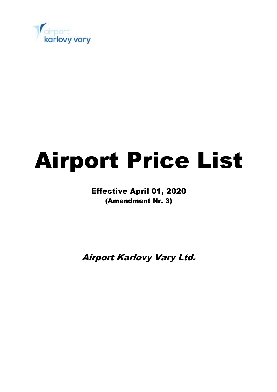

# Airport Price List

Effective April 01, 2020 (Amendment Nr. 3)

Airport Karlovy Vary Ltd.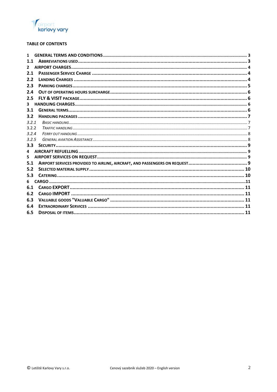

# **TABLE OF CONTENTS**

| 1            |  |
|--------------|--|
| 1.1          |  |
| $\mathbf{2}$ |  |
| 2.1          |  |
| 2.2          |  |
| 2.3          |  |
| 2.4          |  |
| 2.5          |  |
| 3            |  |
| 3.1          |  |
| 3.2          |  |
| 3.2.1        |  |
| 3.2.2        |  |
| 3.2.4        |  |
| 3.2.5        |  |
|              |  |
| 4            |  |
| 5            |  |
| 5.1          |  |
| 5.2          |  |
| 5.3          |  |
| 6            |  |
| 6.1          |  |
| 6.2          |  |
| 6.3          |  |
| 6.4          |  |
| 6.5          |  |
|              |  |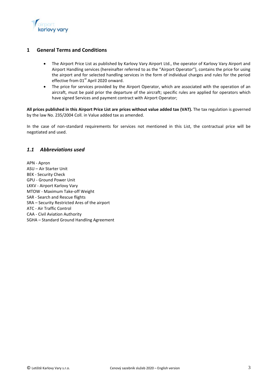

## <span id="page-2-0"></span>**1 General Terms and Conditions**

- The Airport Price List as published by Karlovy Vary Airport Ltd., the operator of Karlovy Vary Airport and Airport Handling services (hereinafter referred to as the "Airport Operator"), contains the price for using the airport and for selected handling services in the form of individual charges and rules for the period effective from 01<sup>st</sup> April 2020 onward.
- The price for services provided by the Airport Operator, which are associated with the operation of an aircraft, must be paid prior the departure of the aircraft; specific rules are applied for operators which have signed Services and payment contract with Airport Operator;

**All prices published in this Airport Price List are prices without value added tax (VAT).** The tax regulation is governed by the law No. 235/2004 Coll. in Value added tax as amended.

In the case of non-standard requirements for services not mentioned in this List, the contractual price will be negotiated and used.

# <span id="page-2-1"></span>*1.1 Abbreviations used*

APN - Apron ASU – Air Starter Unit BEK - Security Check GPU - Ground Power Unit LKKV - Airport Karlovy Vary MTOW - Maximum Take-off Weight SAR - Search and Rescue flights SRA – Security Restricted Ares of the airport ATC - Air Traffic Control CAA - Civil Aviation Authority SGHA – Standard Ground Handling Agreement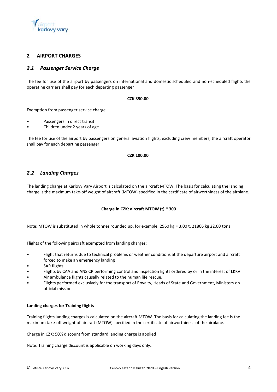

## <span id="page-3-0"></span>**2 AIRPORT CHARGES**

## <span id="page-3-1"></span>*2.1 Passenger Service Charge*

The fee for use of the airport by passengers on international and domestic scheduled and non-scheduled flights the operating carriers shall pay for each departing passenger

#### **CZK 350.00**

Exemption from passenger service charge

- Passengers in direct transit.
- Children under 2 years of age.

The fee for use of the airport by passengers on general aviation flights, excluding crew members, the aircraft operator shall pay for each departing passenger

#### **CZK 100.00**

## <span id="page-3-2"></span>*2.2 Landing Charges*

The landing charge at Karlovy Vary Airport is calculated on the aircraft MTOW. The basis for calculating the landing charge is the maximum take-off weight of aircraft (MTOW) specified in the certificate of airworthiness of the airplane.

#### **Charge in CZK: aircraft MTOW (t) \* 300**

Note: MTOW is substituted in whole tonnes rounded up, for example, 2560 kg = 3.00 t, 21866 kg 22.00 tons

Flights of the following aircraft exempted from landing charges:

- Flight that returns due to technical problems or weather conditions at the departure airport and aircraft forced to make an emergency landing
- SAR flights,
- Flights by CAA and ANS CR performing control and inspection lights ordered by or in the interest of LKKV
- Air ambulance flights causally related to the human life rescue,
- Flights performed exclusively for the transport of Royalty, Heads of State and Government, Ministers on official missions.

#### **Landing charges for Training flights**

Training flights landing charges is calculated on the aircraft MTOW. The basis for calculating the landing fee is the maximum take-off weight of aircraft (MTOW) specified in the certificate of airworthiness of the airplane.

Charge in CZK: 50% discount from standard landing charge is applied

Note: Training charge discount is applicable on working days only..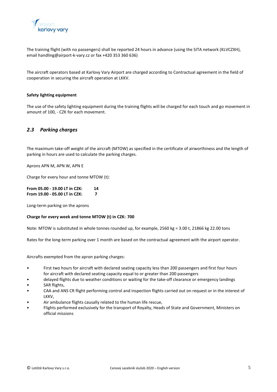

The training flight (with no passengers) shall be reported 24 hours in advance (using the SITA network (KLVCZXH), email handling@airport-k-vary.cz or fax +420 353 360 636)

The aircraft operators based at Karlovy Vary Airport are charged according to Contractual agreement in the field of cooperation in securing the aircraft operation at LKKV.

#### **Safety lighting equipment**

The use of the safety lighting equipment during the training flights will be charged for each touch and go movement in amount of 100, - CZK for each movement.

#### <span id="page-4-0"></span>*2.3 Parking charges*

The maximum take-off weight of the aircraft (MTOW) as specified in the certificate of airworthiness and the length of parking in hours are used to calculate the parking charges.

Aprons APN M, APN W, APN E

Charge for every hour and tonne MTOW (t):

**From 05.00 - 19.00 LT in CZK: 14 From 19.00 - 05.00 LT in CZK: 7**

Long-term parking on the aprons

#### **Charge for every week and tonne MTOW (t) in CZK: 700**

Note: MTOW is substituted in whole tonnes rounded up, for example, 2560 kg = 3.00 t, 21866 kg 22.00 tons

Rates for the long-term parking over 1 month are based on the contractual agreement with the airport operator.

Aircrafts exempted from the apron parking charges:

- First two hours for aircraft with declared seating capacity less than 200 passengers and first four hours for aircraft with declared seating capacity equal to or greater than 200 passengers
- delayed flights due to weather conditions or waiting for the take-off clearance or emergency landings
- SAR flights,
- CAA and ANS CR flight performing control and inspection flights carried out on request or in the interest of LKKV,
- Air ambulance flights causally related to the human life rescue,
- Flights performed exclusively for the transport of Royalty, Heads of State and Government, Ministers on official missions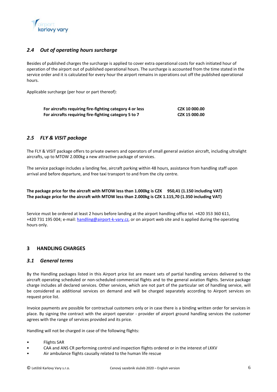

# <span id="page-5-0"></span>*2.4 Out of operating hours surcharge*

Besides of published charges the surcharge is applied to cover extra operational costs for each initiated hour of operation of the airport out of published operational hours. The surcharge is accounted from the time stated in the service order and it is calculated for every hour the airport remains in operations out off the published operational hours.

Applicable surcharge (per hour or part thereof):

| For aircrafts requiring fire-fighting category 4 or less | CZK 10 000.00 |
|----------------------------------------------------------|---------------|
| For aircrafts requiring fire-fighting category 5 to 7    | CZK 15 000.00 |

## <span id="page-5-1"></span>*2.5 FLY & VISIT package*

The FLY & VISIT package offers to private owners and operators of small general aviation aircraft, including ultralight aircrafts, up to MTOW 2.000kg a new attractive package of services.

The service package includes a landing fee, aircraft parking within 48 hours, assistance from handling staff upon arrival and before departure, and free taxi transport to and from the city centre.

#### **The package price for the aircraft with MTOW less than 1.000kg is CZK 950,41 (1.150 including VAT) The package price for the aircraft with MTOW less than 2.000kg is CZK 1.115,70 (1.350 including VAT)**

Service must be ordered at least 2 hours before landing at the airport handling office tel. +420 353 360 611, +420 731 195 004; e-mail[: handling@airport-k-vary.cz,](mailto:handling@airport-k-vary.cz) or on airport web site and is applied during the operating hours only.

## <span id="page-5-2"></span>**3 HANDLING CHARGES**

## <span id="page-5-3"></span>*3.1 General terms*

By the Handling packages listed in this Airport price list are meant sets of partial handling services delivered to the aircraft operating scheduled or non-scheduled commercial flights and to the general aviation flights. Service package charge includes all declared services. Other services, which are not part of the particular set of handling service, will be considered as additional services on demand and will be charged separately according to Airport services on request price list.

Invoice payments are possible for contractual customers only or in case there is a binding written order for services in place. By signing the contract with the airport operator - provider of airport ground handling services the customer agrees with the range of services provided and its price.

Handling will not be charged in case of the following flights:

- Flights SAR
- CAA and ANS CR performing control and inspection flights ordered or in the interest of LKKV
- Air ambulance flights causally related to the human life rescue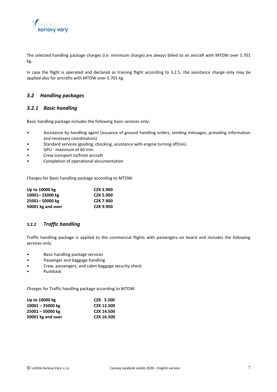

The selected handling package charges (i.e. minimum charge) are always billed to an aircraft with MTOW over 5.701 kg.

In case the flight is operated and declared as training flight according to 3.2.5. the assistance charge only may be applied also for aircrafts with MTOW over 5.701 kg.

## <span id="page-6-0"></span>*3.2 Handling packages*

#### <span id="page-6-1"></span>*3.2.1 Basic handling*

Basic handling package includes the following basic services only:

- Assistance by handling agent (issuance of ground handling orders, sending messages, providing information and necessary coordination)
- Standard services (guiding, chocking, assistance with engine turning off/on).
- GPU maximum of 60 min.
- Crew transport to/from aircraft
- Completion of operational documentation

Charges for Basic handling package according to MTOW:

| Up to 10000 kg    | <b>CZK 3.900</b> |
|-------------------|------------------|
| 10001-25000 kg    | <b>CZK 5.900</b> |
| 25001-50000 kg    | <b>CZK 7.900</b> |
| 50001 kg and over | <b>CZK 9.900</b> |

## <span id="page-6-2"></span>**3.2.2** *Traffic handling*

Traffic handling package is applied to the commercial flights with passengers on board and includes the following services only:

- Basic handling package services
- Passenger and baggage handling
- Crew, passengers, and cabin baggage security check
- Pushback

Charges for Traffic handling package according to MTOW:

| Up to 10000 kg     | CZK 5.500         |
|--------------------|-------------------|
| $10001 - 25000$ kg | <b>CZK 12.500</b> |
| 25001 - 50000 kg   | <b>CZK 14.500</b> |
| 50001 kg and over  | <b>CZK 16.500</b> |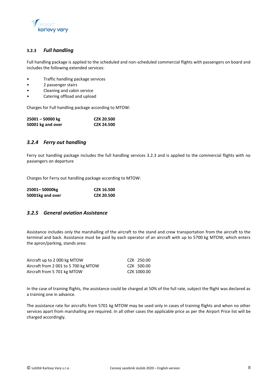

## **3.2.3** *Full handling*

Full handling package is applied to the scheduled and non-scheduled commercial flights with passengers on board and includes the following extended services:

- Traffic handling package services
- 2 passenger stairs
- Cleaning and cabin service
- Catering offload and upload

Charges for Full handling package according to MTOW:

| $25001 - 50000$ kg | <b>CZK 20.500</b> |
|--------------------|-------------------|
| 50001 kg and over  | <b>CZK 24.500</b> |

## <span id="page-7-0"></span>*3.2.4 Ferry out handling*

Ferry out handling package includes the full handling services 3.2.3 and is applied to the commercial flights with no passengers on departure

Charges for Ferry out handling package according to MTOW:

| 25001-50000kg    | <b>CZK 16.500</b> |
|------------------|-------------------|
| 50001kg and over | <b>CZK 20.500</b> |

#### <span id="page-7-1"></span>*3.2.5 General aviation Assistance*

Assistance includes only the marshalling of the aircraft to the stand and crew transportation from the aircraft to the terminal and back. Assistance must be paid by each operator of an aircraft with up to 5700 kg MTOW, which enters the apron/parking, stands area:

| Aircraft up to 2000 kg MTOW          | CZK 250.00  |
|--------------------------------------|-------------|
| Aircraft from 2 001 to 5 700 kg MTOW | CZK 500.00  |
| Aircraft from 5 701 kg MTOW          | CZK 1000.00 |

In the case of training flights, the assistance could be charged at 50% of the full rate, subject the flight was declared as a training one in advance.

The assistance rate for aircrafts from 5701 kg MTOW may be used only in cases of training flights and when no other services apart from marshalling are required. In all other cases the applicable price as per the Airport Price list will be charged accordingly.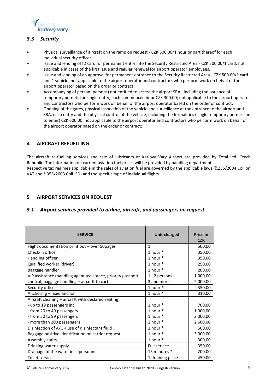

# <span id="page-8-0"></span>*3.3 Security*

- Physical surveillance of aircraft on the ramp on request CZK 500.00/1 hour or part thereof for each individual security officer.
- Issue and lending of ID card for permanent entry into the Security Restricted Area CZK 500.00/1 card; not applicable in cases of the first issue and regular renewal for airport operator employees.
- Issue and lending of an approval for permanent entrance to the Security Restricted Area CZK 500.00/1 card and 1 vehicle; not applicable to the airport operator and contractors who perform work on behalf of the airport operator based on the order or contract;
- Accompanying of person (persons) not entitled to access the airport SRA;, including the issuance of temporary permits for single-entry, each commenced hour CZK 300.00; not applicable to the airport operator and contractors who perform work on behalf of the airport operator based on the order or contract;
- Opening of the gates, physical inspection of the vehicle and surveillance at the entrance to the airport and SRA, each entry and the physical control of the vehicle, including the formalities (single temporary permission to enter) CZK 600.00; not applicable to the airport operator and contractors who perform work on behalf of the airport operator based on the order or contract;

## <span id="page-8-1"></span>**4 AIRCRAFT REFUELLING**

The aircraft re-fuelling services and sale of lubricants at Karlovy Vary Airport are provided by Total Ltd. Czech Republic. The information on current aviation fuel prices will be provided by handling department. Respective tax regimes applicable in the sales of aviation fuel are governed by the applicable laws (č.235/2004 Coll on VAT and č.353/2003 Coll. SD) and the specific type of individual flights.

# <span id="page-8-2"></span>**5 AIRPORT SERVICES ON REQUEST**

## <span id="page-8-3"></span>*5.1 Airport services provided to airline, aircraft, and passengers on request*

| <b>SERVICE</b>                                               | Unit charged        | <b>Price in</b><br><b>CZK</b> |
|--------------------------------------------------------------|---------------------|-------------------------------|
| Flight documentation print out - over 50pages                | $\mathbf{1}$        | 500,00                        |
| Check-in officer                                             | 1 hour *            | 350,00                        |
| Handling officer                                             | 1 hour $*$          | 350,00                        |
| Qualified worker (driver)                                    | 1 hour $*$          | 250,00                        |
| Baggage handler                                              | 1 hour *            | 200,00                        |
| VIP assistance (handling agent assistance, priority passport | 1 - 2 persons       | 1 000,00                      |
| control, baggage handling - aircraft to car)                 | 3 and more          | 2 000,00                      |
| Security officer                                             | 1 hour *            | 350,00                        |
| Anchoring - fixed anchor                                     | 1 hour *            | 310,00                        |
| Aircraft cleaning - aircraft with declared seating           |                     |                               |
| - up to 19 passengers incl.                                  | 1 hour *            | 700,00                        |
| - from 20 to 49 passengers                                   | 1 hour $*$          | 1 000,00                      |
| - from 50 to 99 passengers                                   | 1 hour $*$          | 2 000,00                      |
| - more than 100 passengers                                   | 1 hour *            | 2 600,00                      |
| Disinfection of A/C + use of disinfectant fluid              | 1 hour *            | 600,00                        |
| Baggage positive identification on carrier request           | 1 hour *            | 3 000,00                      |
| Assembly stairs                                              | 1 hour *            | 300,00                        |
| Drinking water supply                                        | <b>Full service</b> | 350,00                        |
| Drainage of the water incl. personnel                        | 15 minutes *        | 200,00                        |
| Toilet services                                              | 1 draining place    | 450,00                        |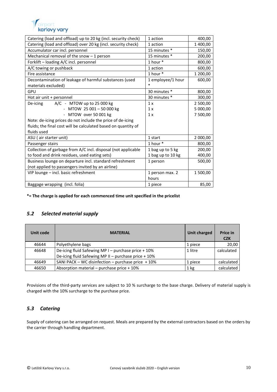

| Catering (load and offload) up to 20 kg (incl. security check) | 1 action          | 400,00   |
|----------------------------------------------------------------|-------------------|----------|
| Catering (load and offload) over 20 kg (incl. security check)  | 1 action          | 1 400,00 |
| Accumulator car incl. personnel                                | 15 minutes *      | 150,00   |
| Mechanical removal of the snow $-1$ person                     | 15 minutes *      | 200,00   |
| Forklift - loading A/C incl. personnel                         | 1 hour *          | 800,00   |
| A/C towing or pushback                                         | 1 action          | 600,00   |
| Fire assistance                                                | 1 hour *          | 1 200,00 |
| Decontamination of leakage of harmful substances (used         | 1 employee/1 hour | 600,00   |
| materials excluded)                                            | *                 |          |
| GPU                                                            | 30 minutes *      | 800,00   |
| Hot air unit + personnel                                       | 30 minutes *      | 300,00   |
| A/C - MTOW up to 25 000 kg<br>De-icing                         | 1 x               | 2 500,00 |
| - MTOW 25 001 - 50 000 kg                                      | 1 x               | 5 000,00 |
| - MTOW over 50 001 kg                                          | 1x                | 7 500,00 |
| Note: de-icing prices do not include the price of de-icing     |                   |          |
| fluids; the final cost will be calculated based on quantity of |                   |          |
| fluids used                                                    |                   |          |
| ASU (air starter unit)                                         | 1 start           | 2 000,00 |
| Passenger stairs                                               | 1 hour $*$        | 800,00   |
| Collection of garbage from A/C incl. disposal (not applicable  | 1 bag up to 5 kg  | 200,00   |
| to food and drink residues, used eating sets)                  | 1 bag up to 10 kg | 400,00   |
| Business lounge on departure incl. standard refreshment        | 1 person          | 500,00   |
| (not applied to passengers invited by an airline)              |                   |          |
| VIP lounge - incl. basic refreshment                           | 1 person max. 2   | 1 500,00 |
|                                                                | hours             |          |
| Baggage wrapping (incl. folia)                                 | 1 piece           | 85,00    |

**\*= The charge is applied for each commenced time unit specified in the pricelist**

# <span id="page-9-0"></span>*5.2 Selected material supply*

| Unit code | <b>MATERIAL</b>                                      | Unit charged | <b>Price in</b><br><b>CZK</b> |
|-----------|------------------------------------------------------|--------------|-------------------------------|
| 46644     | Polyethylene bags                                    | 1 piece      | 20,00                         |
| 46648     | De-icing fluid Safewing MP I - purchase price + 10%  | 1 litre      | calculated                    |
|           | De-icing fluid Safewing MP II - purchase price + 10% |              |                               |
| 46649     | SANI PACK – WC disinfection – purchase price $+10\%$ | 1 piece      | calculated                    |
| 46650     | Absorption material - purchase price + 10%           | $1$ kg       | calculated                    |

Provisions of the third-party services are subject to 10 % surcharge to the base charge. Delivery of material supply is charged with the 10% surcharge to the purchase price.

# <span id="page-9-1"></span>*5.3 Catering*

Supply of catering can be arranged on request. Meals are prepared by the external contractors based on the orders by the carrier through handling department.